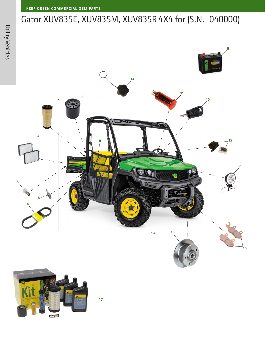## Gator XUV835E, XUV835M, XUV835R 4X4 for (S.N. -040000)